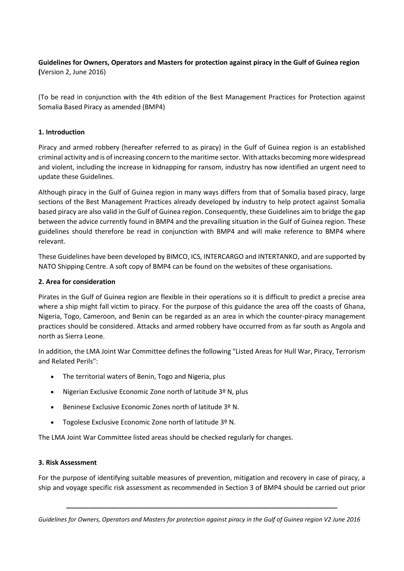## **Guidelines for Owners, Operators and Masters for protection against piracy in the Gulf of Guinea region (**Version 2, June 2016)

(To be read in conjunction with the 4th edition of the Best Management Practices for Protection against Somalia Based Piracy as amended (BMP4)

## **1. Introduction**

Piracy and armed robbery (hereafter referred to as piracy) in the Gulf of Guinea region is an established criminal activity and is of increasing concern to the maritime sector. With attacks becoming more widespread and violent, including the increase in kidnapping for ransom, industry has now identified an urgent need to update these Guidelines.

Although piracy in the Gulf of Guinea region in many ways differs from that of Somalia based piracy, large sections of the Best Management Practices already developed by industry to help protect against Somalia based piracy are also valid in the Gulf of Guinea region. Consequently, these Guidelines aim to bridge the gap between the advice currently found in BMP4 and the prevailing situation in the Gulf of Guinea region. These guidelines should therefore be read in conjunction with BMP4 and will make reference to BMP4 where relevant.

These Guidelines have been developed by BIMCO, ICS, INTERCARGO and INTERTANKO, and are supported by NATO Shipping Centre. A soft copy of BMP4 can be found on the websites of these organisations.

### **2. Area for consideration**

Pirates in the Gulf of Guinea region are flexible in their operations so it is difficult to predict a precise area where a ship might fall victim to piracy. For the purpose of this guidance the area off the coasts of Ghana, Nigeria, Togo, Cameroon, and Benin can be regarded as an area in which the counter-piracy management practices should be considered. Attacks and armed robbery have occurred from as far south as Angola and north as Sierra Leone.

In addition, the LMA Joint War Committee defines the following "Listed Areas for Hull War, Piracy, Terrorism and Related Perils":

- The territorial waters of Benin, Togo and Nigeria, plus
- Nigerian Exclusive Economic Zone north of latitude 3º N, plus
- Beninese Exclusive Economic Zones north of latitude 3º N.
- Togolese Exclusive Economic Zone north of latitude 3º N.

The LMA Joint War Committee listed areas should be checked regularly for changes.

#### **3. Risk Assessment**

For the purpose of identifying suitable measures of prevention, mitigation and recovery in case of piracy, a ship and voyage specific risk assessment as recommended in Section 3 of BMP4 should be carried out prior

*Guidelines for Owners, Operators and Masters for protection against piracy in the Gulf of Guinea region V2 June 2016*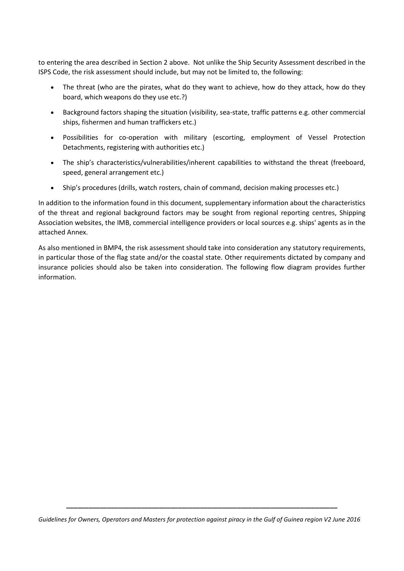to entering the area described in Section 2 above. Not unlike the Ship Security Assessment described in the ISPS Code, the risk assessment should include, but may not be limited to, the following:

- The threat (who are the pirates, what do they want to achieve, how do they attack, how do they board, which weapons do they use etc.?)
- Background factors shaping the situation (visibility, sea-state, traffic patterns e.g. other commercial ships, fishermen and human traffickers etc.)
- Possibilities for co-operation with military (escorting, employment of Vessel Protection Detachments, registering with authorities etc.)
- The ship's characteristics/vulnerabilities/inherent capabilities to withstand the threat (freeboard, speed, general arrangement etc.)
- Ship's procedures (drills, watch rosters, chain of command, decision making processes etc.)

In addition to the information found in this document, supplementary information about the characteristics of the threat and regional background factors may be sought from regional reporting centres, Shipping Association websites, the IMB, commercial intelligence providers or local sources e.g. ships' agents as in the attached Annex.

As also mentioned in BMP4, the risk assessment should take into consideration any statutory requirements, in particular those of the flag state and/or the coastal state. Other requirements dictated by company and insurance policies should also be taken into consideration. The following flow diagram provides further information.

*Guidelines for Owners, Operators and Masters for protection against piracy in the Gulf of Guinea region V2 June 2016*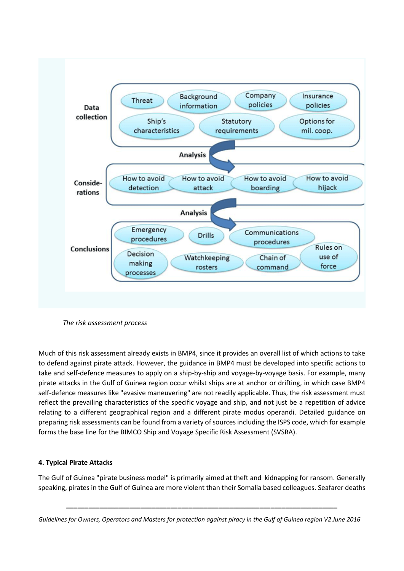

*The risk assessment process*

Much of this risk assessment already exists in BMP4, since it provides an overall list of which actions to take to defend against pirate attack. However, the guidance in BMP4 must be developed into specific actions to take and self-defence measures to apply on a ship-by-ship and voyage-by-voyage basis. For example, many pirate attacks in the Gulf of Guinea region occur whilst ships are at anchor or drifting, in which case BMP4 self-defence measures like "evasive maneuvering" are not readily applicable. Thus, the risk assessment must reflect the prevailing characteristics of the specific voyage and ship, and not just be a repetition of advice relating to a different geographical region and a different pirate modus operandi. Detailed guidance on preparing risk assessments can be found from a variety of sources including the ISPS code, which for example forms the base line for the BIMCO Ship and Voyage Specific Risk Assessment (SVSRA).

## **4. Typical Pirate Attacks**

The Gulf of Guinea "pirate business model" is primarily aimed at theft and kidnapping for ransom. Generally speaking, pirates in the Gulf of Guinea are more violent than their Somalia based colleagues. Seafarer deaths

*Guidelines for Owners, Operators and Masters for protection against piracy in the Gulf of Guinea region V2 June 2016*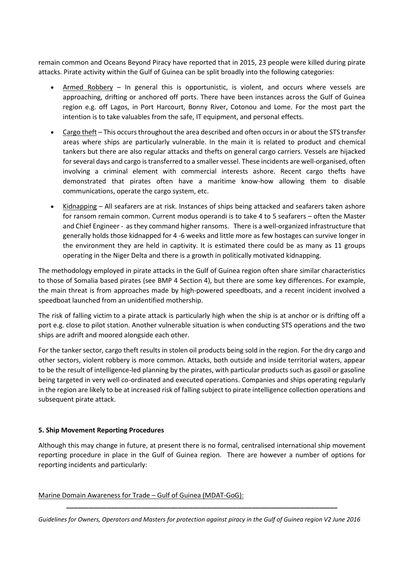remain common and Oceans Beyond Piracy have reported that in 2015, 23 people were killed during pirate attacks. Pirate activity within the Gulf of Guinea can be split broadly into the following categories:

- Armed Robbery In general this is opportunistic, is violent, and occurs where vessels are approaching, drifting or anchored off ports. There have been instances across the Gulf of Guinea region e.g. off Lagos, in Port Harcourt, Bonny River, Cotonou and Lome. For the most part the intention is to take valuables from the safe, IT equipment, and personal effects.
- Cargo theft This occurs throughout the area described and often occurs in or about the STS transfer areas where ships are particularly vulnerable. In the main it is related to product and chemical tankers but there are also regular attacks and thefts on general cargo carriers. Vessels are hijacked for several days and cargo is transferred to a smaller vessel. These incidents are well-organised, often involving a criminal element with commercial interests ashore. Recent cargo thefts have demonstrated that pirates often have a maritime know-how allowing them to disable communications, operate the cargo system, etc.
- Kidnapping All seafarers are at risk. Instances of ships being attacked and seafarers taken ashore for ransom remain common. Current modus operandi is to take 4 to 5 seafarers – often the Master and Chief Engineer - as they command higher ransoms. There is a well-organized infrastructure that generally holds those kidnapped for 4 -6 weeks and little more as few hostages can survive longer in the environment they are held in captivity. It is estimated there could be as many as 11 groups operating in the Niger Delta and there is a growth in politically motivated kidnapping.

The methodology employed in pirate attacks in the Gulf of Guinea region often share similar characteristics to those of Somalia based pirates (see BMP 4 Section 4), but there are some key differences. For example, the main threat is from approaches made by high-powered speedboats, and a recent incident involved a speedboat launched from an unidentified mothership.

The risk of falling victim to a pirate attack is particularly high when the ship is at anchor or is drifting off a port e.g. close to pilot station. Another vulnerable situation is when conducting STS operations and the two ships are adrift and moored alongside each other.

For the tanker sector, cargo theft results in stolen oil products being sold in the region. For the dry cargo and other sectors, violent robbery is more common. Attacks, both outside and inside territorial waters, appear to be the result of intelligence-led planning by the pirates, with particular products such as gasoil or gasoline being targeted in very well co-ordinated and executed operations. Companies and ships operating regularly in the region are likely to be at increased risk of falling subject to pirate intelligence collection operations and subsequent pirate attack.

## **5. Ship Movement Reporting Procedures**

Although this may change in future, at present there is no formal, centralised international ship movement reporting procedure in place in the Gulf of Guinea region. There are however a number of options for reporting incidents and particularly:

#### Marine Domain Awareness for Trade – Gulf of Guinea (MDAT-GoG):

*Guidelines for Owners, Operators and Masters for protection against piracy in the Gulf of Guinea region V2 June 2016*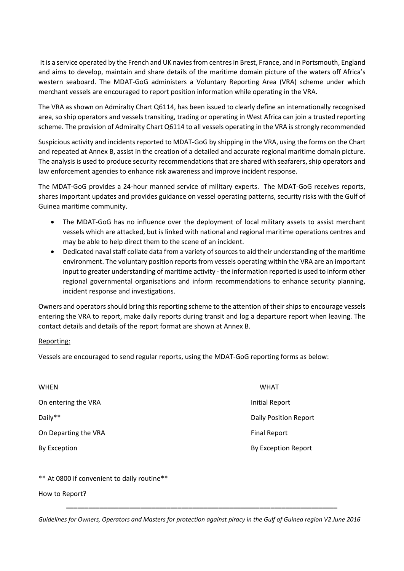It is a service operated by the French and UK navies from centres in Brest, France, and in Portsmouth, England and aims to develop, maintain and share details of the maritime domain picture of the waters off Africa's western seaboard. The MDAT-GoG administers a Voluntary Reporting Area (VRA) scheme under which merchant vessels are encouraged to report position information while operating in the VRA.

The VRA as shown on Admiralty Chart Q6114, has been issued to clearly define an internationally recognised area, so ship operators and vessels transiting, trading or operating in West Africa can join a trusted reporting scheme. The provision of Admiralty Chart Q6114 to all vessels operating in the VRA is strongly recommended

Suspicious activity and incidents reported to MDAT-GoG by shipping in the VRA, using the forms on the Chart and repeated at Annex B, assist in the creation of a detailed and accurate regional maritime domain picture. The analysis is used to produce security recommendations that are shared with seafarers, ship operators and law enforcement agencies to enhance risk awareness and improve incident response.

The MDAT-GoG provides a 24-hour manned service of military experts. The MDAT-GoG receives reports, shares important updates and provides guidance on vessel operating patterns, security risks with the Gulf of Guinea maritime community.

- The MDAT-GoG has no influence over the deployment of local military assets to assist merchant vessels which are attacked, but is linked with national and regional maritime operations centres and may be able to help direct them to the scene of an incident.
- Dedicated naval staff collate data from a variety of sources to aid their understanding of the maritime environment. The voluntary position reports from vessels operating within the VRA are an important input to greater understanding of maritime activity - the information reported is used to inform other regional governmental organisations and inform recommendations to enhance security planning, incident response and investigations.

Owners and operators should bring this reporting scheme to the attention of their ships to encourage vessels entering the VRA to report, make daily reports during transit and log a departure report when leaving. The contact details and details of the report format are shown at Annex B.

## Reporting:

Vessels are encouraged to send regular reports, using the MDAT-GoG reporting forms as below:

| WHEN                 | <b>WHAT</b>                  |
|----------------------|------------------------------|
| On entering the VRA  | <b>Initial Report</b>        |
| Daily**              | <b>Daily Position Report</b> |
| On Departing the VRA | <b>Final Report</b>          |
| <b>By Exception</b>  | By Exception Report          |

## \*\* At 0800 if convenient to daily routine\*\*

How to Report?

*Guidelines for Owners, Operators and Masters for protection against piracy in the Gulf of Guinea region V2 June 2016*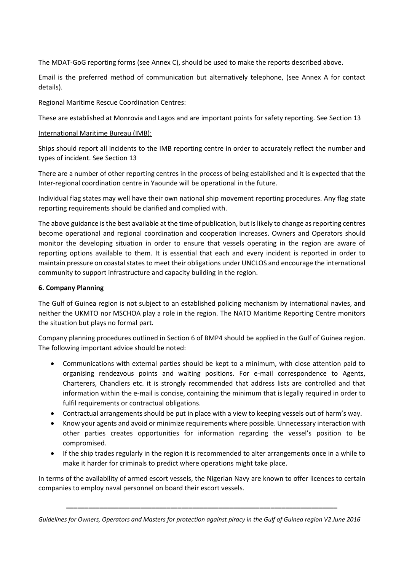The MDAT-GoG reporting forms (see Annex C), should be used to make the reports described above.

Email is the preferred method of communication but alternatively telephone, (see Annex A for contact details).

## Regional Maritime Rescue Coordination Centres:

These are established at Monrovia and Lagos and are important points for safety reporting. See Section 13

## International Maritime Bureau (IMB):

Ships should report all incidents to the IMB reporting centre in order to accurately reflect the number and types of incident. See Section 13

There are a number of other reporting centres in the process of being established and it is expected that the Inter-regional coordination centre in Yaounde will be operational in the future.

Individual flag states may well have their own national ship movement reporting procedures. Any flag state reporting requirements should be clarified and complied with.

The above guidance is the best available at the time of publication, but is likely to change as reporting centres become operational and regional coordination and cooperation increases. Owners and Operators should monitor the developing situation in order to ensure that vessels operating in the region are aware of reporting options available to them. It is essential that each and every incident is reported in order to maintain pressure on coastal states to meet their obligations under UNCLOS and encourage the international community to support infrastructure and capacity building in the region.

## **6. Company Planning**

The Gulf of Guinea region is not subject to an established policing mechanism by international navies, and neither the UKMTO nor MSCHOA play a role in the region. The NATO Maritime Reporting Centre monitors the situation but plays no formal part.

Company planning procedures outlined in Section 6 of BMP4 should be applied in the Gulf of Guinea region. The following important advice should be noted:

- Communications with external parties should be kept to a minimum, with close attention paid to organising rendezvous points and waiting positions. For e-mail correspondence to Agents, Charterers, Chandlers etc. it is strongly recommended that address lists are controlled and that information within the e-mail is concise, containing the minimum that is legally required in order to fulfil requirements or contractual obligations.
- Contractual arrangements should be put in place with a view to keeping vessels out of harm's way.
- Know your agents and avoid or minimize requirements where possible. Unnecessary interaction with other parties creates opportunities for information regarding the vessel's position to be compromised.
- If the ship trades regularly in the region it is recommended to alter arrangements once in a while to make it harder for criminals to predict where operations might take place.

In terms of the availability of armed escort vessels, the Nigerian Navy are known to offer licences to certain companies to employ naval personnel on board their escort vessels.

*Guidelines for Owners, Operators and Masters for protection against piracy in the Gulf of Guinea region V2 June 2016*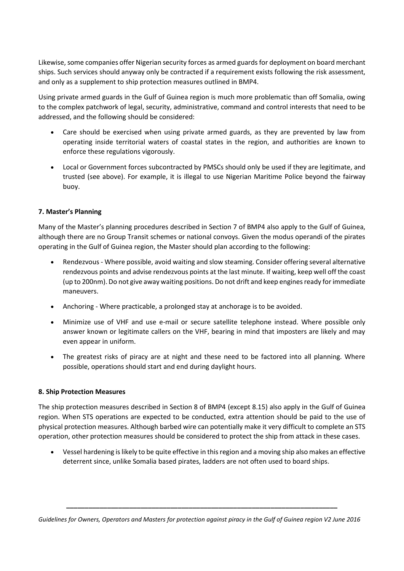Likewise, some companies offer Nigerian security forces as armed guards for deployment on board merchant ships. Such services should anyway only be contracted if a requirement exists following the risk assessment, and only as a supplement to ship protection measures outlined in BMP4.

Using private armed guards in the Gulf of Guinea region is much more problematic than off Somalia, owing to the complex patchwork of legal, security, administrative, command and control interests that need to be addressed, and the following should be considered:

- Care should be exercised when using private armed guards, as they are prevented by law from operating inside territorial waters of coastal states in the region, and authorities are known to enforce these regulations vigorously.
- Local or Government forces subcontracted by PMSCs should only be used if they are legitimate, and trusted (see above). For example, it is illegal to use Nigerian Maritime Police beyond the fairway buoy.

## **7. Master's Planning**

Many of the Master's planning procedures described in Section 7 of BMP4 also apply to the Gulf of Guinea, although there are no Group Transit schemes or national convoys. Given the modus operandi of the pirates operating in the Gulf of Guinea region, the Master should plan according to the following:

- Rendezvous Where possible, avoid waiting and slow steaming. Consider offering several alternative rendezvous points and advise rendezvous points at the last minute. If waiting, keep well off the coast (up to 200nm). Do not give away waiting positions. Do not drift and keep engines ready for immediate maneuvers.
- Anchoring Where practicable, a prolonged stay at anchorage is to be avoided.
- Minimize use of VHF and use e-mail or secure satellite telephone instead. Where possible only answer known or legitimate callers on the VHF, bearing in mind that imposters are likely and may even appear in uniform.
- The greatest risks of piracy are at night and these need to be factored into all planning. Where possible, operations should start and end during daylight hours.

## **8. Ship Protection Measures**

The ship protection measures described in Section 8 of BMP4 (except 8.15) also apply in the Gulf of Guinea region. When STS operations are expected to be conducted, extra attention should be paid to the use of physical protection measures. Although barbed wire can potentially make it very difficult to complete an STS operation, other protection measures should be considered to protect the ship from attack in these cases.

 Vessel hardening is likely to be quite effective in this region and a moving ship also makes an effective deterrent since, unlike Somalia based pirates, ladders are not often used to board ships.

*Guidelines for Owners, Operators and Masters for protection against piracy in the Gulf of Guinea region V2 June 2016*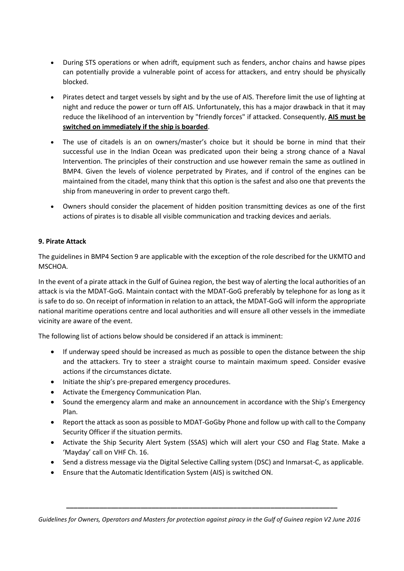- During STS operations or when adrift, equipment such as fenders, anchor chains and hawse pipes can potentially provide a vulnerable point of access for attackers, and entry should be physically blocked.
- Pirates detect and target vessels by sight and by the use of AIS. Therefore limit the use of lighting at night and reduce the power or turn off AIS. Unfortunately, this has a major drawback in that it may reduce the likelihood of an intervention by "friendly forces" if attacked. Consequently, **AIS must be switched on immediately if the ship is boarded**.
- The use of citadels is an on owners/master's choice but it should be borne in mind that their successful use in the Indian Ocean was predicated upon their being a strong chance of a Naval Intervention. The principles of their construction and use however remain the same as outlined in BMP4. Given the levels of violence perpetrated by Pirates, and if control of the engines can be maintained from the citadel, many think that this option is the safest and also one that prevents the ship from maneuvering in order to prevent cargo theft.
- Owners should consider the placement of hidden position transmitting devices as one of the first actions of pirates is to disable all visible communication and tracking devices and aerials.

## **9. Pirate Attack**

The guidelines in BMP4 Section 9 are applicable with the exception of the role described for the UKMTO and MSCHOA.

In the event of a pirate attack in the Gulf of Guinea region, the best way of alerting the local authorities of an attack is via the MDAT-GoG. Maintain contact with the MDAT-GoG preferably by telephone for as long as it is safe to do so. On receipt of information in relation to an attack, the MDAT-GoG will inform the appropriate national maritime operations centre and local authorities and will ensure all other vessels in the immediate vicinity are aware of the event.

The following list of actions below should be considered if an attack is imminent:

- If underway speed should be increased as much as possible to open the distance between the ship and the attackers. Try to steer a straight course to maintain maximum speed. Consider evasive actions if the circumstances dictate.
- Initiate the ship's pre-prepared emergency procedures.
- Activate the Emergency Communication Plan.
- Sound the emergency alarm and make an announcement in accordance with the Ship's Emergency Plan.
- Report the attack as soon as possible to MDAT-GoGby Phone and follow up with call to the Company Security Officer if the situation permits.
- Activate the Ship Security Alert System (SSAS) which will alert your CSO and Flag State. Make a 'Mayday' call on VHF Ch. 16.
- Send a distress message via the Digital Selective Calling system (DSC) and Inmarsat-C, as applicable.
- Ensure that the Automatic Identification System (AIS) is switched ON.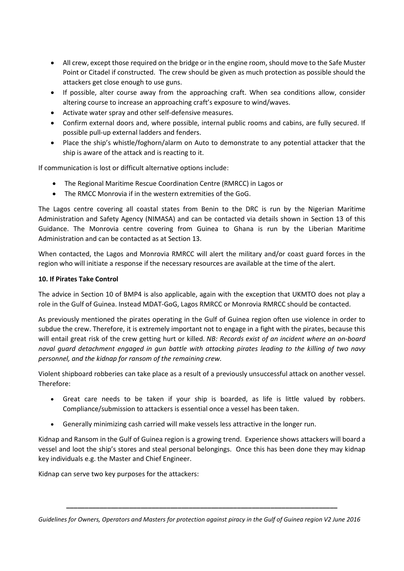- All crew, except those required on the bridge or in the engine room, should move to the Safe Muster Point or Citadel if constructed. The crew should be given as much protection as possible should the attackers get close enough to use guns.
- If possible, alter course away from the approaching craft. When sea conditions allow, consider altering course to increase an approaching craft's exposure to wind/waves.
- Activate water spray and other self-defensive measures.
- Confirm external doors and, where possible, internal public rooms and cabins, are fully secured. If possible pull-up external ladders and fenders.
- Place the ship's whistle/foghorn/alarm on Auto to demonstrate to any potential attacker that the ship is aware of the attack and is reacting to it.

If communication is lost or difficult alternative options include:

- The Regional Maritime Rescue Coordination Centre (RMRCC) in Lagos or
- The RMCC Monrovia if in the western extremities of the GoG.

The Lagos centre covering all coastal states from Benin to the DRC is run by the Nigerian Maritime Administration and Safety Agency (NIMASA) and can be contacted via details shown in Section 13 of this Guidance. The Monrovia centre covering from Guinea to Ghana is run by the Liberian Maritime Administration and can be contacted as at Section 13.

When contacted, the Lagos and Monrovia RMRCC will alert the military and/or coast guard forces in the region who will initiate a response if the necessary resources are available at the time of the alert.

## **10. If Pirates Take Control**

The advice in Section 10 of BMP4 is also applicable, again with the exception that UKMTO does not play a role in the Gulf of Guinea. Instead MDAT-GoG, Lagos RMRCC or Monrovia RMRCC should be contacted.

As previously mentioned the pirates operating in the Gulf of Guinea region often use violence in order to subdue the crew. Therefore, it is extremely important not to engage in a fight with the pirates, because this will entail great risk of the crew getting hurt or killed. *NB: Records exist of an incident where an on-board naval guard detachment engaged in gun battle with attacking pirates leading to the killing of two navy personnel, and the kidnap for ransom of the remaining crew.*

Violent shipboard robberies can take place as a result of a previously unsuccessful attack on another vessel. Therefore:

- Great care needs to be taken if your ship is boarded, as life is little valued by robbers. Compliance/submission to attackers is essential once a vessel has been taken.
- Generally minimizing cash carried will make vessels less attractive in the longer run.

Kidnap and Ransom in the Gulf of Guinea region is a growing trend. Experience shows attackers will board a vessel and loot the ship's stores and steal personal belongings. Once this has been done they may kidnap key individuals e.g. the Master and Chief Engineer.

Kidnap can serve two key purposes for the attackers: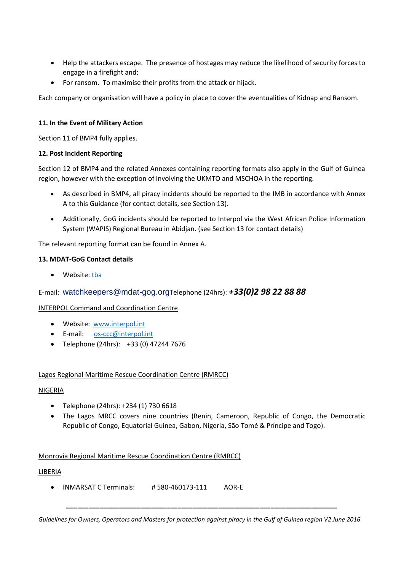- Help the attackers escape. The presence of hostages may reduce the likelihood of security forces to engage in a firefight and;
- For ransom. To maximise their profits from the attack or hijack.

Each company or organisation will have a policy in place to cover the eventualities of Kidnap and Ransom.

## **11. In the Event of Military Action**

Section 11 of BMP4 fully applies.

## **12. Post Incident Reporting**

Section 12 of BMP4 and the related Annexes containing reporting formats also apply in the Gulf of Guinea region, however with the exception of involving the UKMTO and MSCHOA in the reporting.

- As described in BMP4, all piracy incidents should be reported to the IMB in accordance with Annex A to this Guidance (for contact details, see Section 13).
- Additionally, GoG incidents should be reported to Interpol via the West African Police Information System (WAPIS) Regional Bureau in Abidjan. (see Section 13 for contact details)

The relevant reporting format can be found in Annex A.

## **13. MDAT-GoG Contact details**

• Website: tha

## E-mail: [watchkeepers@mdat-gog.org](mailto:watchkeepers@mdat-gog.org)Telephone (24hrs): *+33(0)2 98 22 88 88*

## INTERPOL Command and Coordination Centre

- Website: [www.interpol.int](http://www.interpol.int/)
- E-mail: [os-ccc@interpol.int](mailto:os-ccc@interpol.int)
- Telephone (24hrs): +33 (0) 47244 7676

## Lagos Regional Maritime Rescue Coordination Centre (RMRCC)

## NIGERIA

- Telephone (24hrs): +234 (1) 730 6618
- The Lagos MRCC covers nine countries (Benin, Cameroon, Republic of Congo, the Democratic Republic of Congo, Equatorial Guinea, Gabon, Nigeria, São Tomé & Príncipe and Togo).

## Monrovia Regional Maritime Rescue Coordination Centre (RMRCC)

## LIBERIA

INMARSAT C Terminals: # 580-460173-111 AOR-E

*Guidelines for Owners, Operators and Masters for protection against piracy in the Gulf of Guinea region V2 June 2016*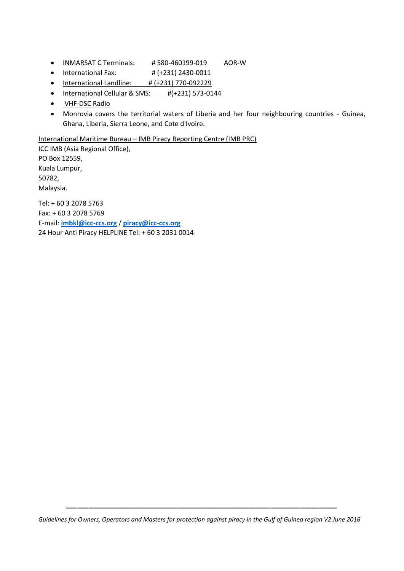- INMARSAT C Terminals: # 580-460199-019 AOR-W
- $\bullet$  International Fax:  $\sharp$  (+231) 2430-0011
- $\bullet$  International Landline: # (+231) 770-092229
- International Cellular & SMS: #(+231) 573-0144
- VHF-DSC Radio
- Monrovia covers the territorial waters of Liberia and her four neighbouring countries Guinea, Ghana, Liberia, Sierra Leone, and Cote d'Ivoire.

International Maritime Bureau – IMB Piracy Reporting Centre (IMB PRC)

ICC IMB (Asia Regional Office), PO Box 12559, Kuala Lumpur, 50782, Malaysia. Tel: + 60 3 2078 5763 Fax: + 60 3 2078 5769

E-mail: **[imbkl@icc-ccs.org](mailto:imbkl@icc-ccs.org)** / **[piracy@icc-ccs.org](mailto:piracy@icc-ccs.org)** 24 Hour Anti Piracy HELPLINE Tel: + 60 3 2031 0014

*Guidelines for Owners, Operators and Masters for protection against piracy in the Gulf of Guinea region V2 June 2016*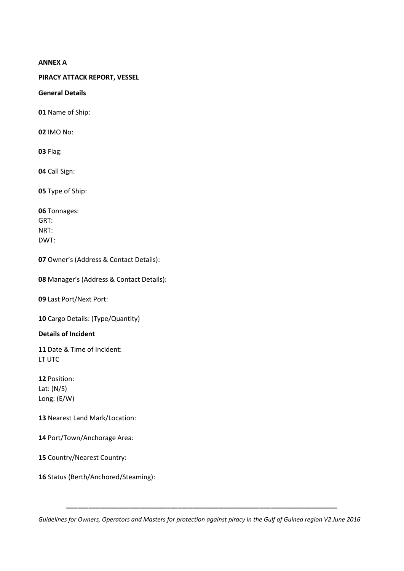#### **ANNEX A**

## **PIRACY ATTACK REPORT, VESSEL**

#### **General Details**

**01** Name of Ship:

**02** IMO No:

**03** Flag:

**04** Call Sign:

**05** Type of Ship:

| 06 Tonnages: |
|--------------|
| GRT:         |
| NRT:         |
| DWT:         |

**07** Owner's (Address & Contact Details):

**08** Manager's (Address & Contact Details):

**09** Last Port/Next Port:

**10** Cargo Details: (Type/Quantity)

**Details of Incident**

**11** Date & Time of Incident: LT UTC

**12** Position: Lat: (N/S) Long: (E/W)

**13** Nearest Land Mark/Location:

**14** Port/Town/Anchorage Area:

**15** Country/Nearest Country:

**16** Status (Berth/Anchored/Steaming):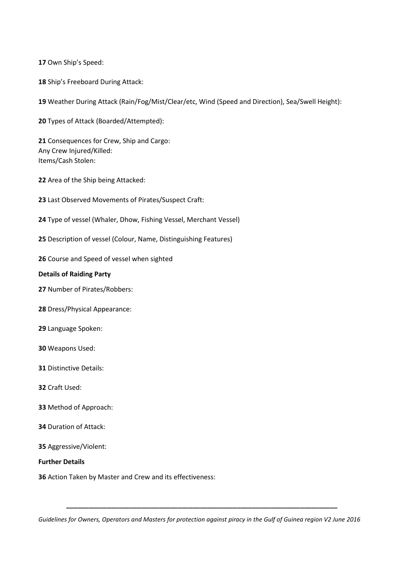Own Ship's Speed:

Ship's Freeboard During Attack:

Weather During Attack (Rain/Fog/Mist/Clear/etc, Wind (Speed and Direction), Sea/Swell Height):

Types of Attack (Boarded/Attempted):

 Consequences for Crew, Ship and Cargo: Any Crew Injured/Killed: Items/Cash Stolen:

Area of the Ship being Attacked:

Last Observed Movements of Pirates/Suspect Craft:

Type of vessel (Whaler, Dhow, Fishing Vessel, Merchant Vessel)

Description of vessel (Colour, Name, Distinguishing Features)

Course and Speed of vessel when sighted

#### **Details of Raiding Party**

Number of Pirates/Robbers:

Dress/Physical Appearance:

Language Spoken:

Weapons Used:

Distinctive Details:

Craft Used:

- Method of Approach:
- Duration of Attack:

Aggressive/Violent:

**Further Details**

Action Taken by Master and Crew and its effectiveness:

*Guidelines for Owners, Operators and Masters for protection against piracy in the Gulf of Guinea region V2 June 2016*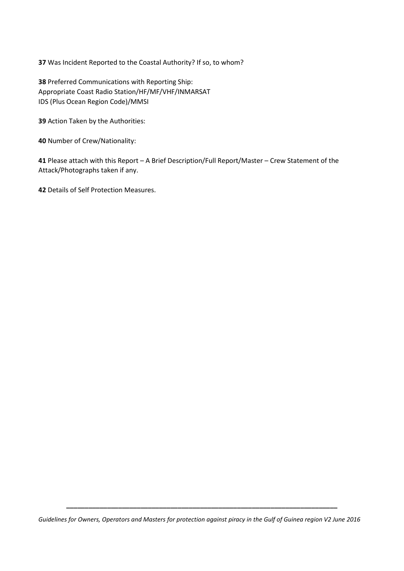**37** Was Incident Reported to the Coastal Authority? If so, to whom?

**38** Preferred Communications with Reporting Ship: Appropriate Coast Radio Station/HF/MF/VHF/INMARSAT IDS (Plus Ocean Region Code)/MMSI

**39** Action Taken by the Authorities:

**40** Number of Crew/Nationality:

**41** Please attach with this Report – A Brief Description/Full Report/Master – Crew Statement of the Attack/Photographs taken if any.

**42** Details of Self Protection Measures.

*Guidelines for Owners, Operators and Masters for protection against piracy in the Gulf of Guinea region V2 June 2016*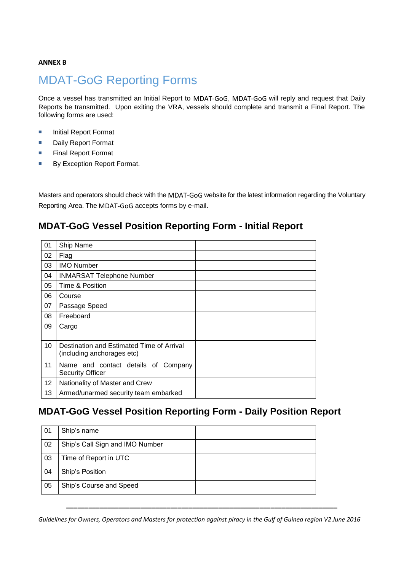## **ANNEX B**

# MDAT-GoG Reporting Forms

Once a vessel has transmitted an Initial Report to MDAT-GoG, MDAT-GoG will reply and request that Daily Reports be transmitted. Upon exiting the VRA, vessels should complete and transmit a Final Report. The following forms are used:

- **Initial Report Format**
- **Daily Report Format**
- **Final Report Format**
- By Exception Report Format.

Masters and operators should check with the MDAT-GoG website for the latest information regarding the Voluntary Reporting Area. The MDAT-GoG accepts forms by e-mail.

## **MDAT-GoG Vessel Position Reporting Form - Initial Report**

| 01 | Ship Name                                                               |  |
|----|-------------------------------------------------------------------------|--|
| 02 | Flag                                                                    |  |
| 03 | <b>IMO Number</b>                                                       |  |
| 04 | <b>INMARSAT Telephone Number</b>                                        |  |
| 05 | Time & Position                                                         |  |
| 06 | Course                                                                  |  |
| 07 | Passage Speed                                                           |  |
| 08 | Freeboard                                                               |  |
| 09 | Cargo                                                                   |  |
| 10 | Destination and Estimated Time of Arrival<br>(including anchorages etc) |  |
| 11 | Name and contact details of Company<br><b>Security Officer</b>          |  |
| 12 | Nationality of Master and Crew                                          |  |
| 13 | Armed/unarmed security team embarked                                    |  |

## **MDAT-GoG Vessel Position Reporting Form - Daily Position Report**

| 01 | Ship's name                     |  |
|----|---------------------------------|--|
| 02 | Ship's Call Sign and IMO Number |  |
| 03 | Time of Report in UTC           |  |
| 04 | Ship's Position                 |  |
| 05 | Ship's Course and Speed         |  |

*Guidelines for Owners, Operators and Masters for protection against piracy in the Gulf of Guinea region V2 June 2016*